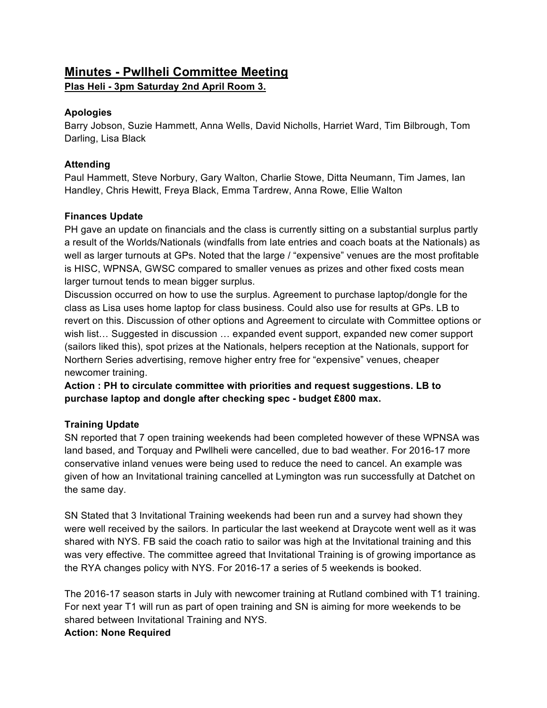# **Minutes - Pwllheli Committee Meeting Plas Heli - 3pm Saturday 2nd April Room 3.**

## **Apologies**

Barry Jobson, Suzie Hammett, Anna Wells, David Nicholls, Harriet Ward, Tim Bilbrough, Tom Darling, Lisa Black

#### **Attending**

Paul Hammett, Steve Norbury, Gary Walton, Charlie Stowe, Ditta Neumann, Tim James, Ian Handley, Chris Hewitt, Freya Black, Emma Tardrew, Anna Rowe, Ellie Walton

#### **Finances Update**

PH gave an update on financials and the class is currently sitting on a substantial surplus partly a result of the Worlds/Nationals (windfalls from late entries and coach boats at the Nationals) as well as larger turnouts at GPs. Noted that the large / "expensive" venues are the most profitable is HISC, WPNSA, GWSC compared to smaller venues as prizes and other fixed costs mean larger turnout tends to mean bigger surplus.

Discussion occurred on how to use the surplus. Agreement to purchase laptop/dongle for the class as Lisa uses home laptop for class business. Could also use for results at GPs. LB to revert on this. Discussion of other options and Agreement to circulate with Committee options or wish list… Suggested in discussion … expanded event support, expanded new comer support (sailors liked this), spot prizes at the Nationals, helpers reception at the Nationals, support for Northern Series advertising, remove higher entry free for "expensive" venues, cheaper newcomer training.

**Action : PH to circulate committee with priorities and request suggestions. LB to purchase laptop and dongle after checking spec - budget £800 max.**

## **Training Update**

SN reported that 7 open training weekends had been completed however of these WPNSA was land based, and Torquay and Pwllheli were cancelled, due to bad weather. For 2016-17 more conservative inland venues were being used to reduce the need to cancel. An example was given of how an Invitational training cancelled at Lymington was run successfully at Datchet on the same day.

SN Stated that 3 Invitational Training weekends had been run and a survey had shown they were well received by the sailors. In particular the last weekend at Draycote went well as it was shared with NYS. FB said the coach ratio to sailor was high at the Invitational training and this was very effective. The committee agreed that Invitational Training is of growing importance as the RYA changes policy with NYS. For 2016-17 a series of 5 weekends is booked.

The 2016-17 season starts in July with newcomer training at Rutland combined with T1 training. For next year T1 will run as part of open training and SN is aiming for more weekends to be shared between Invitational Training and NYS.

#### **Action: None Required**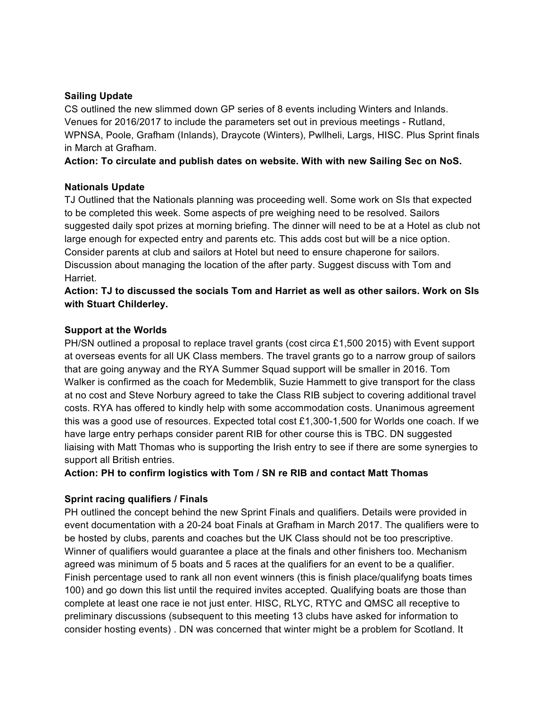#### **Sailing Update**

CS outlined the new slimmed down GP series of 8 events including Winters and Inlands. Venues for 2016/2017 to include the parameters set out in previous meetings - Rutland, WPNSA, Poole, Grafham (Inlands), Draycote (Winters), Pwllheli, Largs, HISC. Plus Sprint finals in March at Grafham.

**Action: To circulate and publish dates on website. With with new Sailing Sec on NoS.** 

#### **Nationals Update**

TJ Outlined that the Nationals planning was proceeding well. Some work on SIs that expected to be completed this week. Some aspects of pre weighing need to be resolved. Sailors suggested daily spot prizes at morning briefing. The dinner will need to be at a Hotel as club not large enough for expected entry and parents etc. This adds cost but will be a nice option. Consider parents at club and sailors at Hotel but need to ensure chaperone for sailors. Discussion about managing the location of the after party. Suggest discuss with Tom and Harriet.

**Action: TJ to discussed the socials Tom and Harriet as well as other sailors. Work on SIs with Stuart Childerley.**

#### **Support at the Worlds**

PH/SN outlined a proposal to replace travel grants (cost circa £1,500 2015) with Event support at overseas events for all UK Class members. The travel grants go to a narrow group of sailors that are going anyway and the RYA Summer Squad support will be smaller in 2016. Tom Walker is confirmed as the coach for Medemblik, Suzie Hammett to give transport for the class at no cost and Steve Norbury agreed to take the Class RIB subject to covering additional travel costs. RYA has offered to kindly help with some accommodation costs. Unanimous agreement this was a good use of resources. Expected total cost £1,300-1,500 for Worlds one coach. If we have large entry perhaps consider parent RIB for other course this is TBC. DN suggested liaising with Matt Thomas who is supporting the Irish entry to see if there are some synergies to support all British entries.

**Action: PH to confirm logistics with Tom / SN re RIB and contact Matt Thomas**

## **Sprint racing qualifiers / Finals**

PH outlined the concept behind the new Sprint Finals and qualifiers. Details were provided in event documentation with a 20-24 boat Finals at Grafham in March 2017. The qualifiers were to be hosted by clubs, parents and coaches but the UK Class should not be too prescriptive. Winner of qualifiers would guarantee a place at the finals and other finishers too. Mechanism agreed was minimum of 5 boats and 5 races at the qualifiers for an event to be a qualifier. Finish percentage used to rank all non event winners (this is finish place/qualifyng boats times 100) and go down this list until the required invites accepted. Qualifying boats are those than complete at least one race ie not just enter. HISC, RLYC, RTYC and QMSC all receptive to preliminary discussions (subsequent to this meeting 13 clubs have asked for information to consider hosting events) . DN was concerned that winter might be a problem for Scotland. It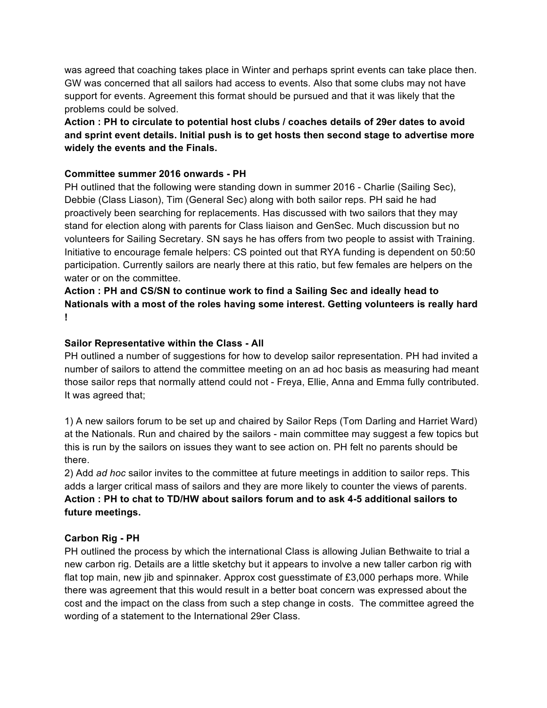was agreed that coaching takes place in Winter and perhaps sprint events can take place then. GW was concerned that all sailors had access to events. Also that some clubs may not have support for events. Agreement this format should be pursued and that it was likely that the problems could be solved.

## **Action : PH to circulate to potential host clubs / coaches details of 29er dates to avoid and sprint event details. Initial push is to get hosts then second stage to advertise more widely the events and the Finals.**

#### **Committee summer 2016 onwards - PH**

PH outlined that the following were standing down in summer 2016 - Charlie (Sailing Sec), Debbie (Class Liason), Tim (General Sec) along with both sailor reps. PH said he had proactively been searching for replacements. Has discussed with two sailors that they may stand for election along with parents for Class liaison and GenSec. Much discussion but no volunteers for Sailing Secretary. SN says he has offers from two people to assist with Training. Initiative to encourage female helpers: CS pointed out that RYA funding is dependent on 50:50 participation. Currently sailors are nearly there at this ratio, but few females are helpers on the water or on the committee.

**Action : PH and CS/SN to continue work to find a Sailing Sec and ideally head to Nationals with a most of the roles having some interest. Getting volunteers is really hard !** 

#### **Sailor Representative within the Class - All**

PH outlined a number of suggestions for how to develop sailor representation. PH had invited a number of sailors to attend the committee meeting on an ad hoc basis as measuring had meant those sailor reps that normally attend could not - Freya, Ellie, Anna and Emma fully contributed. It was agreed that;

1) A new sailors forum to be set up and chaired by Sailor Reps (Tom Darling and Harriet Ward) at the Nationals. Run and chaired by the sailors - main committee may suggest a few topics but this is run by the sailors on issues they want to see action on. PH felt no parents should be there.

2) Add *ad hoc* sailor invites to the committee at future meetings in addition to sailor reps. This adds a larger critical mass of sailors and they are more likely to counter the views of parents. **Action : PH to chat to TD/HW about sailors forum and to ask 4-5 additional sailors to future meetings.**

#### **Carbon Rig - PH**

PH outlined the process by which the international Class is allowing Julian Bethwaite to trial a new carbon rig. Details are a little sketchy but it appears to involve a new taller carbon rig with flat top main, new jib and spinnaker. Approx cost guesstimate of £3,000 perhaps more. While there was agreement that this would result in a better boat concern was expressed about the cost and the impact on the class from such a step change in costs. The committee agreed the wording of a statement to the International 29er Class.